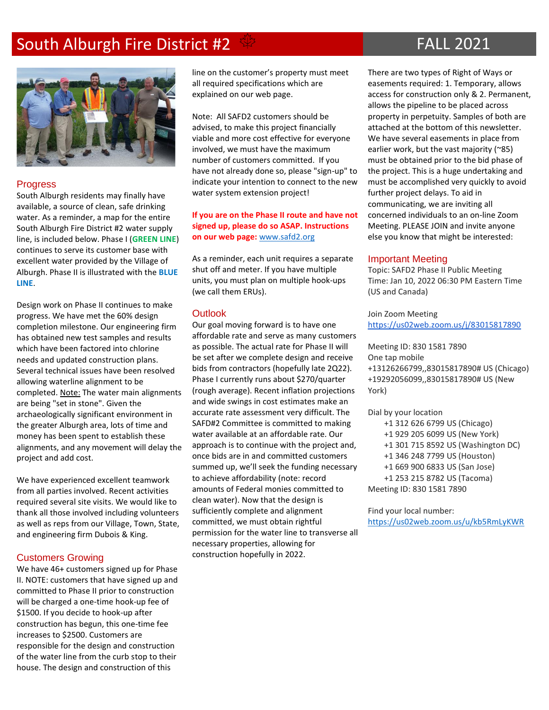# South Alburgh Fire District #2  $\frac{4}{3}$  FALL 2021



#### **Progress**

South Alburgh residents may finally have available, a source of clean, safe drinking water. As a reminder, a map for the entire South Alburgh Fire District #2 water supply line, is included below. Phase I (**GREEN LINE**) continues to serve its customer base with excellent water provided by the Village of Alburgh. Phase II is illustrated with the **BLUE LINE**.

Design work on Phase II continues to make progress. We have met the 60% design completion milestone. Our engineering firm has obtained new test samples and results which have been factored into chlorine needs and updated construction plans. Several technical issues have been resolved allowing waterline alignment to be completed. Note: The water main alignments are being "set in stone". Given the archaeologically significant environment in the greater Alburgh area, lots of time and money has been spent to establish these alignments, and any movement will delay the project and add cost.

We have experienced excellent teamwork from all parties involved. Recent activities required several site visits. We would like to thank all those involved including volunteers as well as reps from our Village, Town, State, and engineering firm Dubois & King.

### Customers Growing

We have 46+ customers signed up for Phase II. NOTE: customers that have signed up and committed to Phase II prior to construction will be charged a one-time hook-up fee of \$1500. If you decide to hook-up after construction has begun, this one-time fee increases to \$2500. Customers are responsible for the design and construction of the water line from the curb stop to their house. The design and construction of this

line on the customer's property must meet all required specifications which are explained on our web page.

Note: All SAFD2 customers should be advised, to make this project financially viable and more cost effective for everyone involved, we must have the maximum number of customers committed. If you have not already done so, please "sign-up" to indicate your intention to connect to the new water system extension project!

#### **If you are on the Phase II route and have not signed up, please do so ASAP. Instructions on our web page:** [www.safd2.org](http://www.safd2.org/)

As a reminder, each unit requires a separate shut off and meter. If you have multiple units, you must plan on multiple hook-ups (we call them ERUs).

#### **Outlook**

Our goal moving forward is to have one affordable rate and serve as many customers as possible. The actual rate for Phase II will be set after we complete design and receive bids from contractors (hopefully late 2Q22). Phase I currently runs about \$270/quarter (rough average). Recent inflation projections and wide swings in cost estimates make an accurate rate assessment very difficult. The SAFD#2 Committee is committed to making water available at an affordable rate. Our approach is to continue with the project and, once bids are in and committed customers summed up, we'll seek the funding necessary to achieve affordability (note: record amounts of Federal monies committed to clean water). Now that the design is sufficiently complete and alignment committed, we must obtain rightful permission for the water line to transverse all necessary properties, allowing for construction hopefully in 2022.

There are two types of Right of Ways or easements required: 1. Temporary, allows access for construction only & 2. Permanent, allows the pipeline to be placed across property in perpetuity. Samples of both are attached at the bottom of this newsletter. We have several easements in place from earlier work, but the vast majority (~85) must be obtained prior to the bid phase of the project. This is a huge undertaking and must be accomplished very quickly to avoid further project delays. To aid in communicating, we are inviting all concerned individuals to an on-line Zoom Meeting. PLEASE JOIN and invite anyone else you know that might be interested:

#### Important Meeting

Topic: SAFD2 Phase II Public Meeting Time: Jan 10, 2022 06:30 PM Eastern Time (US and Canada)

Join Zoom Meeting <https://us02web.zoom.us/j/83015817890>

Meeting ID: 830 1581 7890 One tap mobile +13126266799,,83015817890# US (Chicago) +19292056099,,83015817890# US (New York)

Dial by your location +1 312 626 6799 US (Chicago) +1 929 205 6099 US (New York) +1 301 715 8592 US (Washington DC) +1 346 248 7799 US (Houston) +1 669 900 6833 US (San Jose) +1 253 215 8782 US (Tacoma)

Meeting ID: 830 1581 7890

Find your local number: <https://us02web.zoom.us/u/kb5RmLyKWR>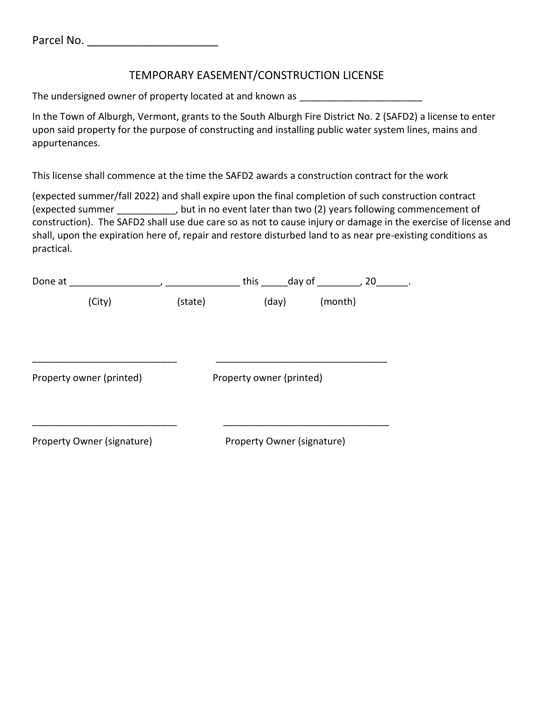# TEMPORARY EASEMENT/CONSTRUCTION LICENSE

The undersigned owner of property located at and known as \_\_\_\_\_\_\_\_\_\_\_\_\_\_\_\_\_\_\_\_\_\_

In the Town of Alburgh, Vermont, grants to the South Alburgh Fire District No. 2 (SAFD2) a license to enter upon said property for the purpose of constructing and installing public water system lines, mains and appurtenances.

This license shall commence at the time the SAFD2 awards a construction contract for the work

(expected summer/fall 2022) and shall expire upon the final completion of such construction contract (expected summer ), but in no event later than two (2) years following commencement of construction). The SAFD2 shall use due care so as not to cause injury or damage in the exercise of license and shall, upon the expiration here of, repair and restore disturbed land to as near pre-existing conditions as practical.

| Done at                    |         | this day of , 20           |         |
|----------------------------|---------|----------------------------|---------|
| (City)                     | (state) | (day)                      | (month) |
| Property owner (printed)   |         | Property owner (printed)   |         |
| Property Owner (signature) |         | Property Owner (signature) |         |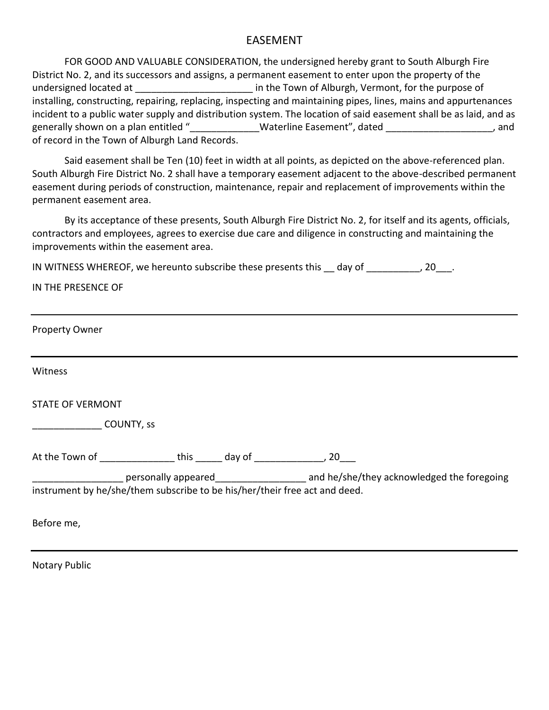## EASEMENT

FOR GOOD AND VALUABLE CONSIDERATION, the undersigned hereby grant to South Alburgh Fire District No. 2, and its successors and assigns, a permanent easement to enter upon the property of the undersigned located at \_\_\_\_\_\_\_\_\_\_\_\_\_\_\_\_\_\_\_\_\_\_\_\_\_\_\_\_ in the Town of Alburgh, Vermont, for the purpose of installing, constructing, repairing, replacing, inspecting and maintaining pipes, lines, mains and appurtenances incident to a public water supply and distribution system. The location of said easement shall be as laid, and as generally shown on a plan entitled " The Materline Easement", dated The Materline Easement of the stated  $\sim$ of record in the Town of Alburgh Land Records.

Said easement shall be Ten (10) feet in width at all points, as depicted on the above-referenced plan. South Alburgh Fire District No. 2 shall have a temporary easement adjacent to the above-described permanent easement during periods of construction, maintenance, repair and replacement of improvements within the permanent easement area.

By its acceptance of these presents, South Alburgh Fire District No. 2, for itself and its agents, officials, contractors and employees, agrees to exercise due care and diligence in constructing and maintaining the improvements within the easement area.

IN WITNESS WHEREOF, we hereunto subscribe these presents this day of  $\qquad \qquad$ , 20.

|  |  | IN THE PRESENCE OF |  |
|--|--|--------------------|--|
|--|--|--------------------|--|

| <b>Property Owner</b>                                                                                          |  |  |  |  |  |  |
|----------------------------------------------------------------------------------------------------------------|--|--|--|--|--|--|
| Witness                                                                                                        |  |  |  |  |  |  |
| <b>STATE OF VERMONT</b>                                                                                        |  |  |  |  |  |  |
| COUNTY, SS                                                                                                     |  |  |  |  |  |  |
| At the Town of this day of the Town of this day of the method of the set of the set of the set of the set of t |  |  |  |  |  |  |
| instrument by he/she/them subscribe to be his/her/their free act and deed.                                     |  |  |  |  |  |  |
| Before me,                                                                                                     |  |  |  |  |  |  |

Notary Public